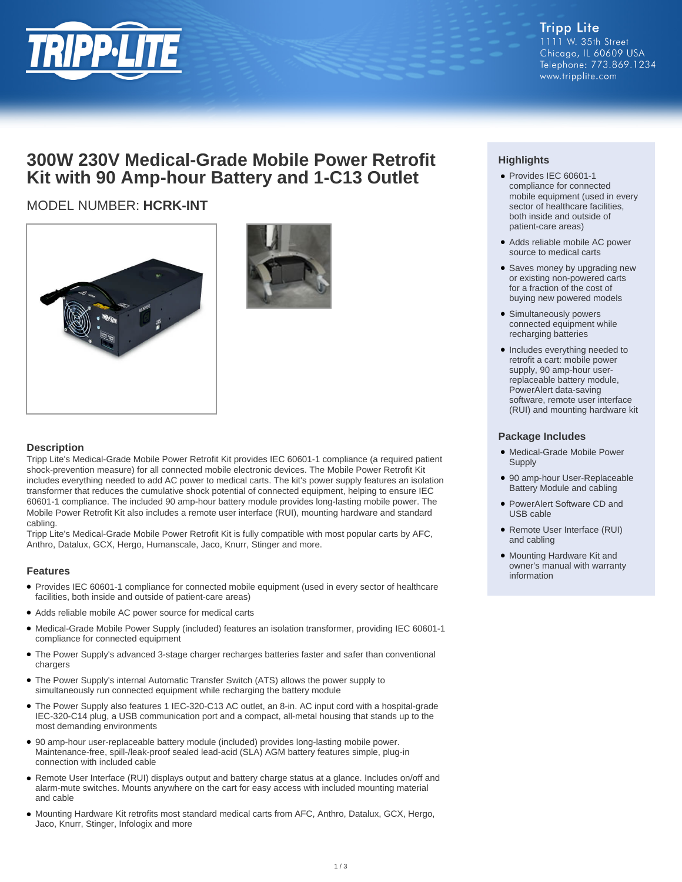

## **300W 230V Medical-Grade Mobile Power Retrofit Kit with 90 Amp-hour Battery and 1-C13 Outlet**

## MODEL NUMBER: **HCRK-INT**





#### **Description**

Tripp Lite's Medical-Grade Mobile Power Retrofit Kit provides IEC 60601-1 compliance (a required patient shock-prevention measure) for all connected mobile electronic devices. The Mobile Power Retrofit Kit includes everything needed to add AC power to medical carts. The kit's power supply features an isolation transformer that reduces the cumulative shock potential of connected equipment, helping to ensure IEC 60601-1 compliance. The included 90 amp-hour battery module provides long-lasting mobile power. The Mobile Power Retrofit Kit also includes a remote user interface (RUI), mounting hardware and standard cabling.

Tripp Lite's Medical-Grade Mobile Power Retrofit Kit is fully compatible with most popular carts by AFC, Anthro, Datalux, GCX, Hergo, Humanscale, Jaco, Knurr, Stinger and more.

#### **Features**

- Provides IEC 60601-1 compliance for connected mobile equipment (used in every sector of healthcare facilities, both inside and outside of patient-care areas)
- Adds reliable mobile AC power source for medical carts
- Medical-Grade Mobile Power Supply (included) features an isolation transformer, providing IEC 60601-1 compliance for connected equipment
- The Power Supply's advanced 3-stage charger recharges batteries faster and safer than conventional chargers
- The Power Supply's internal Automatic Transfer Switch (ATS) allows the power supply to simultaneously run connected equipment while recharging the battery module
- The Power Supply also features 1 IEC-320-C13 AC outlet, an 8-in. AC input cord with a hospital-grade IEC-320-C14 plug, a USB communication port and a compact, all-metal housing that stands up to the most demanding environments
- 90 amp-hour user-replaceable battery module (included) provides long-lasting mobile power. Maintenance-free, spill-/leak-proof sealed lead-acid (SLA) AGM battery features simple, plug-in connection with included cable
- Remote User Interface (RUI) displays output and battery charge status at a glance. Includes on/off and alarm-mute switches. Mounts anywhere on the cart for easy access with included mounting material and cable
- Mounting Hardware Kit retrofits most standard medical carts from AFC, Anthro, Datalux, GCX, Hergo, Jaco, Knurr, Stinger, Infologix and more

### **Highlights**

- Provides IEC 60601-1 compliance for connected mobile equipment (used in every sector of healthcare facilities, both inside and outside of patient-care areas)
- Adds reliable mobile AC power source to medical carts
- Saves money by upgrading new or existing non-powered carts for a fraction of the cost of buying new powered models
- Simultaneously powers connected equipment while recharging batteries
- Includes everything needed to retrofit a cart: mobile power supply, 90 amp-hour userreplaceable battery module, PowerAlert data-saving software, remote user interface (RUI) and mounting hardware kit

#### **Package Includes**

- Medical-Grade Mobile Power **Supply**
- 90 amp-hour User-Replaceable Battery Module and cabling
- PowerAlert Software CD and USB cable
- Remote User Interface (RUI) and cabling
- Mounting Hardware Kit and owner's manual with warranty information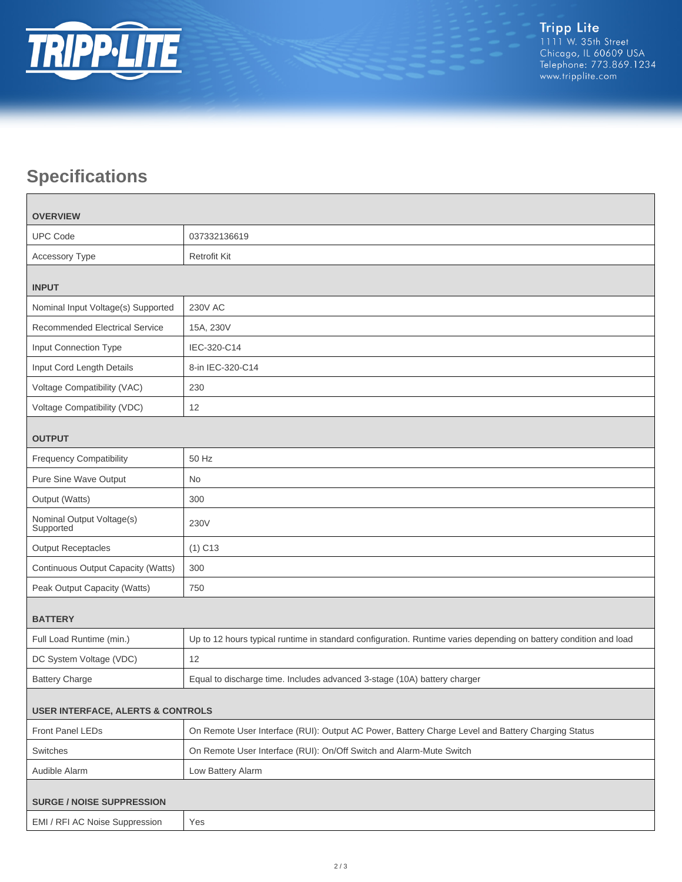

# **Specifications**

| <b>OVERVIEW</b>                              |                                                                                                                  |  |
|----------------------------------------------|------------------------------------------------------------------------------------------------------------------|--|
| <b>UPC Code</b>                              | 037332136619                                                                                                     |  |
| Accessory Type                               | <b>Retrofit Kit</b>                                                                                              |  |
| <b>INPUT</b>                                 |                                                                                                                  |  |
| Nominal Input Voltage(s) Supported           | <b>230V AC</b>                                                                                                   |  |
| <b>Recommended Electrical Service</b>        | 15A, 230V                                                                                                        |  |
| Input Connection Type                        | IEC-320-C14                                                                                                      |  |
| Input Cord Length Details                    | 8-in IEC-320-C14                                                                                                 |  |
| Voltage Compatibility (VAC)                  | 230                                                                                                              |  |
| Voltage Compatibility (VDC)                  | 12                                                                                                               |  |
| <b>OUTPUT</b>                                |                                                                                                                  |  |
| <b>Frequency Compatibility</b>               | 50 Hz                                                                                                            |  |
| Pure Sine Wave Output                        | <b>No</b>                                                                                                        |  |
| Output (Watts)                               | 300                                                                                                              |  |
| Nominal Output Voltage(s)<br>Supported       | 230V                                                                                                             |  |
| <b>Output Receptacles</b>                    | $(1)$ C <sub>13</sub>                                                                                            |  |
| Continuous Output Capacity (Watts)           | 300                                                                                                              |  |
| Peak Output Capacity (Watts)                 | 750                                                                                                              |  |
| <b>BATTERY</b>                               |                                                                                                                  |  |
| Full Load Runtime (min.)                     | Up to 12 hours typical runtime in standard configuration. Runtime varies depending on battery condition and load |  |
| DC System Voltage (VDC)                      | 12                                                                                                               |  |
| <b>Battery Charge</b>                        | Equal to discharge time. Includes advanced 3-stage (10A) battery charger                                         |  |
| <b>USER INTERFACE, ALERTS &amp; CONTROLS</b> |                                                                                                                  |  |
| Front Panel LEDs                             | On Remote User Interface (RUI): Output AC Power, Battery Charge Level and Battery Charging Status                |  |
| Switches                                     | On Remote User Interface (RUI): On/Off Switch and Alarm-Mute Switch                                              |  |
| Audible Alarm                                | Low Battery Alarm                                                                                                |  |
| <b>SURGE / NOISE SUPPRESSION</b>             |                                                                                                                  |  |
| EMI / RFI AC Noise Suppression               | Yes                                                                                                              |  |